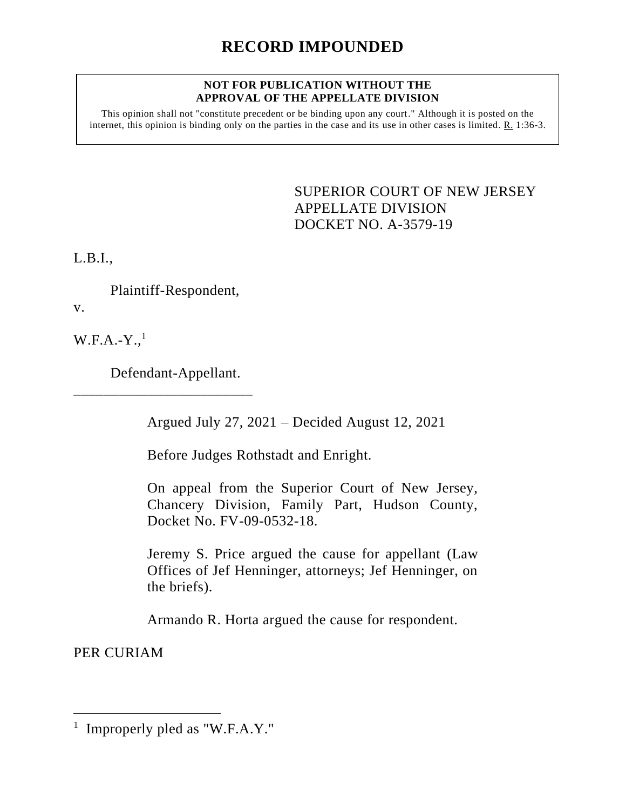## **NOT FOR PUBLICATION WITHOUT THE APPROVAL OF THE APPELLATE DIVISION**

This opinion shall not "constitute precedent or be binding upon any court." Although it is posted on the internet, this opinion is binding only on the parties in the case and its use in other cases is limited. R. 1:36-3.

> <span id="page-0-0"></span>SUPERIOR COURT OF NEW JERSEY APPELLATE DIVISION DOCKET NO. A-3579-19

L.B.I.,

Plaintiff-Respondent,

v.

 $W.F.A.-Y.,<sup>1</sup>$ 

Defendant-Appellant.

\_\_\_\_\_\_\_\_\_\_\_\_\_\_\_\_\_\_\_\_\_\_\_\_

Argued July 27, 2021 – Decided August 12, 2021

Before Judges Rothstadt and Enright.

On appeal from the Superior Court of New Jersey, Chancery Division, Family Part, Hudson County, Docket No. FV-09-0532-18.

Jeremy S. Price argued the cause for appellant (Law Offices of Jef Henninger, attorneys; Jef Henninger, on the briefs).

Armando R. Horta argued the cause for respondent.

PER CURIAM

<sup>&</sup>lt;sup>1</sup> Improperly pled as "W.F.A.Y."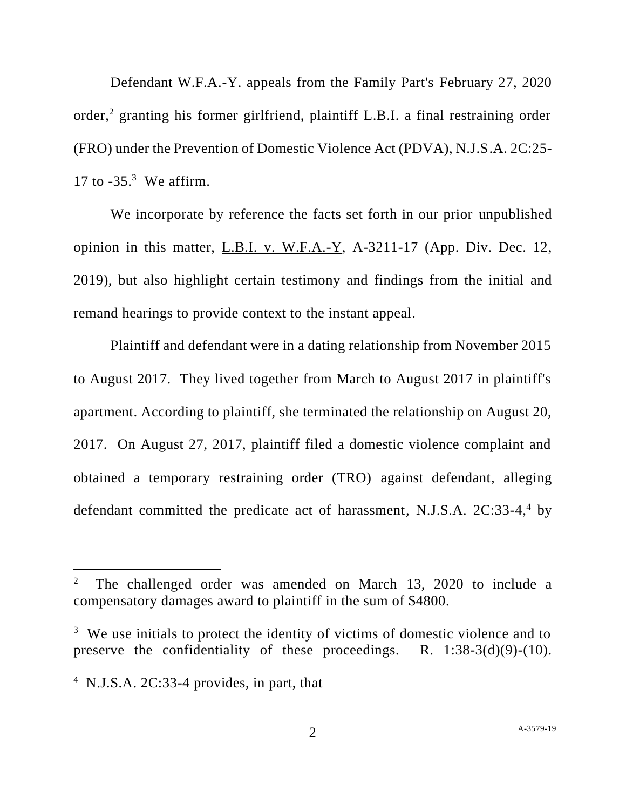Defendant W.F.A.-Y. appeals from the Family Part's February 27, 2020 order, <sup>2</sup> granting his former girlfriend, plaintiff L.B.I. a final restraining order (FRO) under the Prevention of Domestic Violence Act (PDVA), N.J.S.A. 2C:25- 17 to -35.<sup>3</sup> We affirm.

We incorporate by reference the facts set forth in our prior unpublished opinion in this matter, L.B.I. v. W.F.A.-Y, A-3211-17 (App. Div. Dec. 12, 2019), but also highlight certain testimony and findings from the initial and remand hearings to provide context to the instant appeal.

Plaintiff and defendant were in a dating relationship from November 2015 to August 2017. They lived together from March to August 2017 in plaintiff's apartment. According to plaintiff, she terminated the relationship on August 20, 2017. On August 27, 2017, plaintiff filed a domestic violence complaint and obtained a temporary restraining order (TRO) against defendant, alleging defendant committed the predicate act of harassment, N.J.S.A. 2C:33-4,<sup>4</sup> by

<sup>2</sup> The challenged order was amended on March 13, 2020 to include a compensatory damages award to plaintiff in the sum of \$4800.

<sup>&</sup>lt;sup>3</sup> We use initials to protect the identity of victims of domestic violence and to preserve the confidentiality of these proceedings.  $R_1$  1:38-3(d)(9)-(10).

<sup>&</sup>lt;sup>4</sup> N.J.S.A. 2C:33-4 provides, in part, that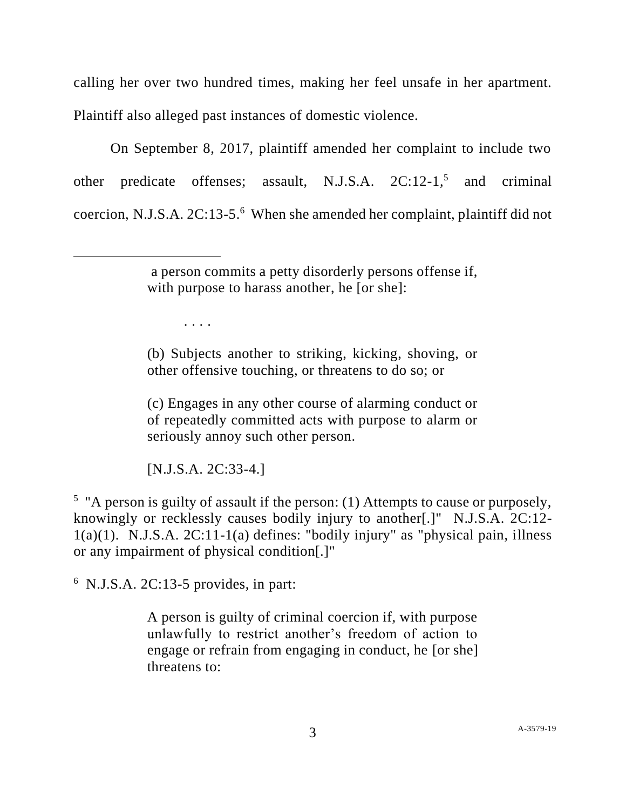calling her over two hundred times, making her feel unsafe in her apartment. Plaintiff also alleged past instances of domestic violence.

On September 8, 2017, plaintiff amended her complaint to include two other predicate offenses; assault, N.J.S.A.  $2C:12-1$ <sup>5</sup>, and criminal coercion, N.J.S.A. 2C:13-5.<sup>6</sup> When she amended her complaint, plaintiff did not

. . . .

(b) Subjects another to striking, kicking, shoving, or other offensive touching, or threatens to do so; or

(c) Engages in any other course of alarming conduct or of repeatedly committed acts with purpose to alarm or seriously annoy such other person.

[N.J.S.A. 2C:33-4.]

<sup>5</sup> "A person is guilty of assault if the person: (1) Attempts to cause or purposely, knowingly or recklessly causes bodily injury to another[.]" N.J.S.A. 2C:12-  $1(a)(1)$ . N.J.S.A.  $2C:11-1(a)$  defines: "bodily injury" as "physical pain, illness or any impairment of physical condition[.]"

 $6$  N.J.S.A. 2C:13-5 provides, in part:

A person is guilty of criminal coercion if, with purpose unlawfully to restrict another's freedom of action to engage or refrain from engaging in conduct, he [or she] threatens to:

a person commits a petty disorderly persons offense if, with purpose to harass another, he [or she]: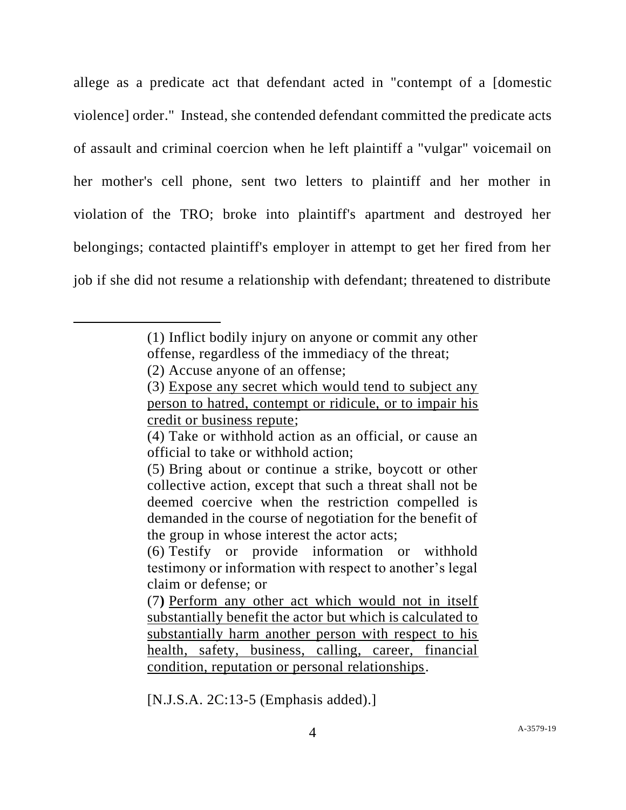allege as a predicate act that defendant acted in "contempt of a [domestic violence] order." Instead, she contended defendant committed the predicate acts of assault and criminal coercion when he left plaintiff a "vulgar" voicemail on her mother's cell phone, sent two letters to plaintiff and her mother in violation of the TRO; broke into plaintiff's apartment and destroyed her belongings; contacted plaintiff's employer in attempt to get her fired from her job if she did not resume a relationship with defendant; threatened to distribute

[N.J.S.A. 2C:13-5 (Emphasis added).]

<sup>(1)</sup> Inflict bodily injury on anyone or commit any other offense, regardless of the immediacy of the threat;

<sup>(2)</sup> Accuse anyone of an offense;

<sup>(3)</sup> Expose any secret which would tend to subject any person to hatred, contempt or ridicule, or to impair his credit or business repute;

<sup>(4)</sup> Take or withhold action as an official, or cause an official to take or withhold action;

<sup>(5)</sup> Bring about or continue a strike, boycott or other collective action, except that such a threat shall not be deemed coercive when the restriction compelled is demanded in the course of negotiation for the benefit of the group in whose interest the actor acts;

<sup>(6)</sup> Testify or provide information or withhold testimony or information with respect to another's legal claim or defense; or

<sup>(7</sup>**)** Perform any other act which would not in itself substantially benefit the actor but which is calculated to substantially harm another person with respect to his health, safety, business, calling, career, financial condition, reputation or personal relationships.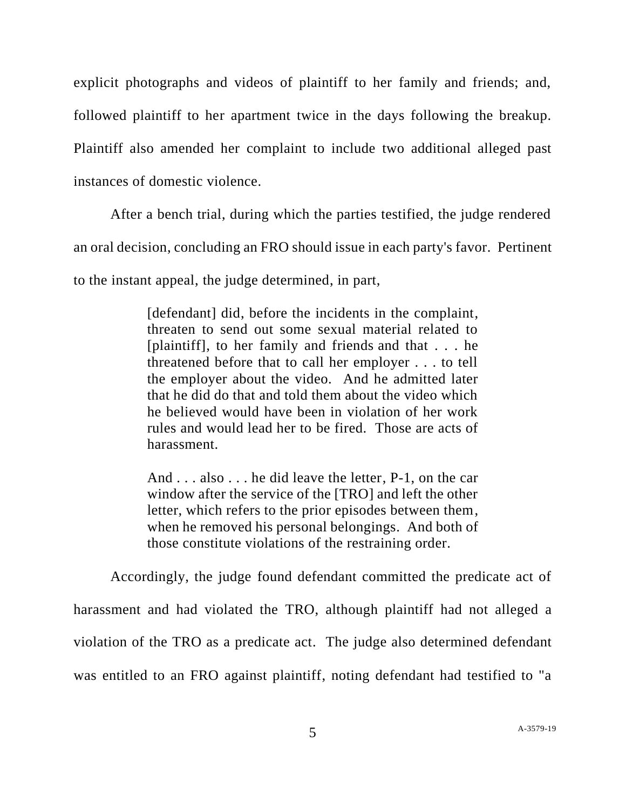explicit photographs and videos of plaintiff to her family and friends; and, followed plaintiff to her apartment twice in the days following the breakup. Plaintiff also amended her complaint to include two additional alleged past instances of domestic violence.

After a bench trial, during which the parties testified, the judge rendered an oral decision, concluding an FRO should issue in each party's favor. Pertinent to the instant appeal, the judge determined, in part,

> [defendant] did, before the incidents in the complaint, threaten to send out some sexual material related to [plaintiff], to her family and friends and that . . . he threatened before that to call her employer . . . to tell the employer about the video. And he admitted later that he did do that and told them about the video which he believed would have been in violation of her work rules and would lead her to be fired. Those are acts of harassment.

> And . . . also . . . he did leave the letter, P-1, on the car window after the service of the [TRO] and left the other letter, which refers to the prior episodes between them, when he removed his personal belongings. And both of those constitute violations of the restraining order.

Accordingly, the judge found defendant committed the predicate act of harassment and had violated the TRO, although plaintiff had not alleged a violation of the TRO as a predicate act. The judge also determined defendant was entitled to an FRO against plaintiff, noting defendant had testified to "a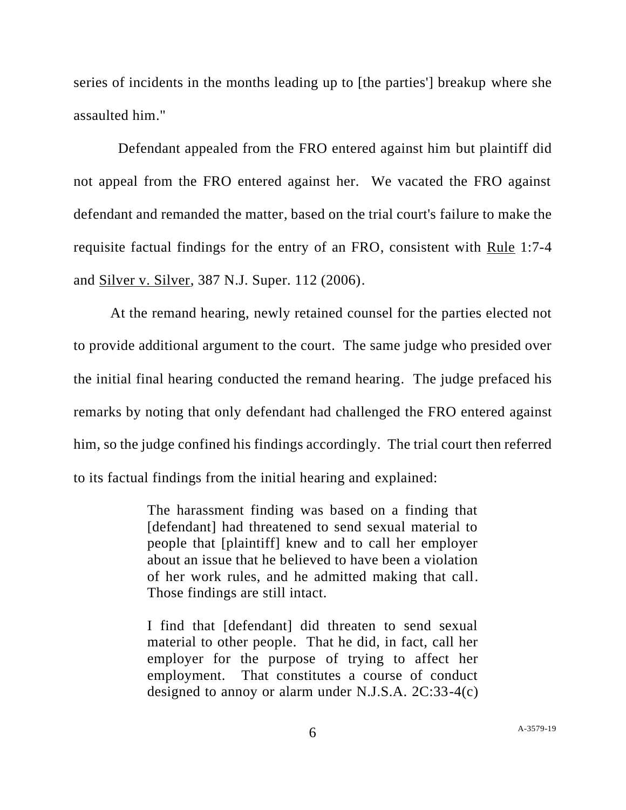series of incidents in the months leading up to [the parties'] breakup where she assaulted him."

 Defendant appealed from the FRO entered against him but plaintiff did not appeal from the FRO entered against her. We vacated the FRO against defendant and remanded the matter, based on the trial court's failure to make the requisite factual findings for the entry of an FRO, consistent with Rule 1:7-4 and Silver v. Silver, 387 N.J. Super. 112 (2006).

At the remand hearing, newly retained counsel for the parties elected not to provide additional argument to the court. The same judge who presided over the initial final hearing conducted the remand hearing. The judge prefaced his remarks by noting that only defendant had challenged the FRO entered against him, so the judge confined his findings accordingly. The trial court then referred to its factual findings from the initial hearing and explained:

> The harassment finding was based on a finding that [defendant] had threatened to send sexual material to people that [plaintiff] knew and to call her employer about an issue that he believed to have been a violation of her work rules, and he admitted making that call. Those findings are still intact.

> I find that [defendant] did threaten to send sexual material to other people. That he did, in fact, call her employer for the purpose of trying to affect her employment. That constitutes a course of conduct designed to annoy or alarm under N.J.S.A. 2C:33-4(c)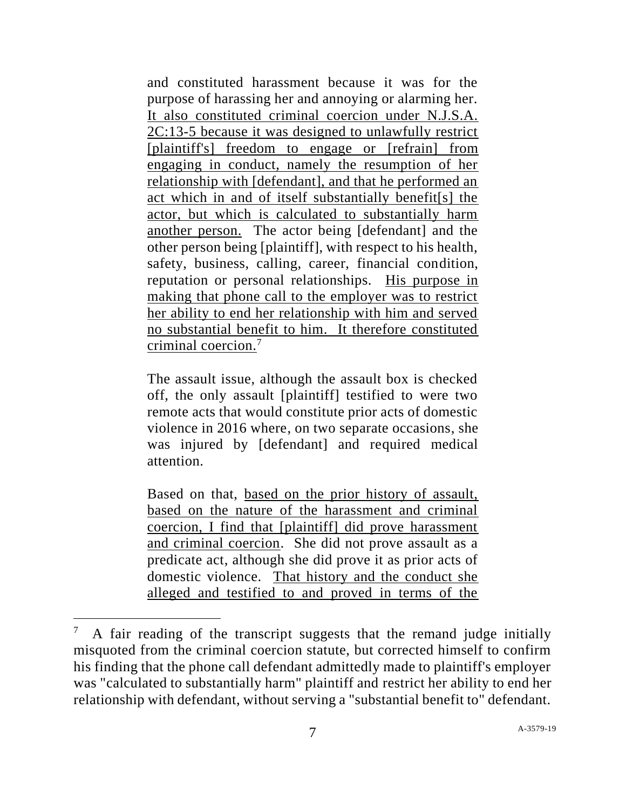and constituted harassment because it was for the purpose of harassing her and annoying or alarming her. It also constituted criminal coercion under N.J.S.A. 2C:13-5 because it was designed to unlawfully restrict [plaintiff's] freedom to engage or [refrain] from engaging in conduct, namely the resumption of her relationship with [defendant], and that he performed an act which in and of itself substantially benefit[s] the actor, but which is calculated to substantially harm another person. The actor being [defendant] and the other person being [plaintiff], with respect to his health, safety, business, calling, career, financial condition, reputation or personal relationships. His purpose in making that phone call to the employer was to restrict her ability to end her relationship with him and served no substantial benefit to him. It therefore constituted criminal coercion.<sup>7</sup>

The assault issue, although the assault box is checked off, the only assault [plaintiff] testified to were two remote acts that would constitute prior acts of domestic violence in 2016 where, on two separate occasions, she was injured by [defendant] and required medical attention.

Based on that, based on the prior history of assault, based on the nature of the harassment and criminal coercion, I find that [plaintiff] did prove harassment and criminal coercion. She did not prove assault as a predicate act, although she did prove it as prior acts of domestic violence. That history and the conduct she alleged and testified to and proved in terms of the

<sup>7</sup> A fair reading of the transcript suggests that the remand judge initially misquoted from the criminal coercion statute, but corrected himself to confirm his finding that the phone call defendant admittedly made to plaintiff's employer was "calculated to substantially harm" plaintiff and restrict her ability to end her relationship with defendant, without serving a "substantial benefit to" defendant.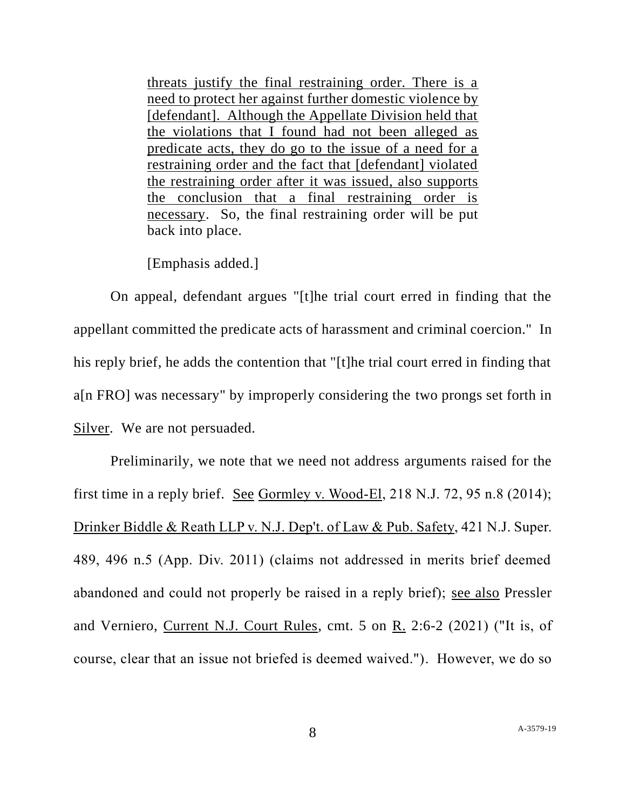threats justify the final restraining order. There is a need to protect her against further domestic violence by [defendant]. Although the Appellate Division held that the violations that I found had not been alleged as predicate acts, they do go to the issue of a need for a restraining order and the fact that [defendant] violated the restraining order after it was issued, also supports the conclusion that a final restraining order is necessary. So, the final restraining order will be put back into place.

[Emphasis added.]

On appeal, defendant argues "[t]he trial court erred in finding that the appellant committed the predicate acts of harassment and criminal coercion." In his reply brief, he adds the contention that "[t]he trial court erred in finding that a[n FRO] was necessary" by improperly considering the two prongs set forth in Silver. We are not persuaded.

Preliminarily, we note that we need not address arguments raised for the first time in a reply brief. See Gormley v. Wood-El, 218 N.J. 72, 95 n.8 (2014); Drinker Biddle & Reath LLP v. N.J. Dep't. of Law & Pub. Safety, 421 N.J. Super. 489, 496 n.5 (App. Div. 2011) (claims not addressed in merits brief deemed abandoned and could not properly be raised in a reply brief); see also Pressler and Verniero, Current N.J. Court Rules, cmt. 5 on R. 2:6-2 (2021) ("It is, of course, clear that an issue not briefed is deemed waived."). However, we do so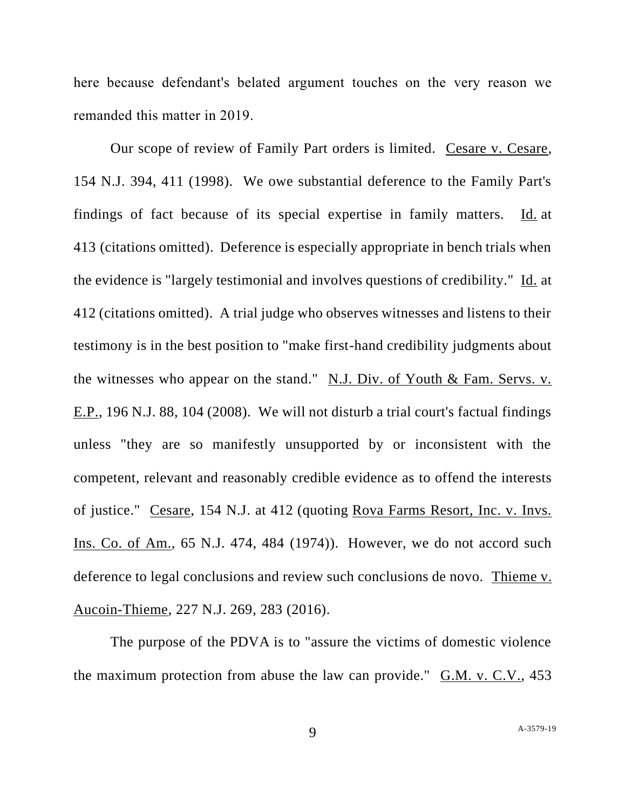here because defendant's belated argument touches on the very reason we remanded this matter in 2019.

Our scope of review of Family Part orders is limited. Cesare v. Cesare, 154 N.J. 394, 411 (1998). We owe substantial deference to the Family Part's findings of fact because of its special expertise in family matters. Id. at 413 (citations omitted). Deference is especially appropriate in bench trials when the evidence is "largely testimonial and involves questions of credibility." Id. at 412 (citations omitted). A trial judge who observes witnesses and listens to their testimony is in the best position to "make first-hand credibility judgments about the witnesses who appear on the stand." N.J. Div. of Youth & Fam. Servs. v. E.P., 196 N.J. 88, 104 (2008). We will not disturb a trial court's factual findings unless "they are so manifestly unsupported by or inconsistent with the competent, relevant and reasonably credible evidence as to offend the interests of justice." Cesare, 154 N.J. at 412 (quoting Rova Farms Resort, Inc. v. Invs. Ins. Co. of Am., 65 N.J. 474, 484 (1974)). However, we do not accord such deference to legal conclusions and review such conclusions de novo. Thieme v. Aucoin-Thieme, 227 N.J. 269, 283 (2016).

The purpose of the PDVA is to "assure the victims of domestic violence the maximum protection from abuse the law can provide." G.M. v. C.V., 453

9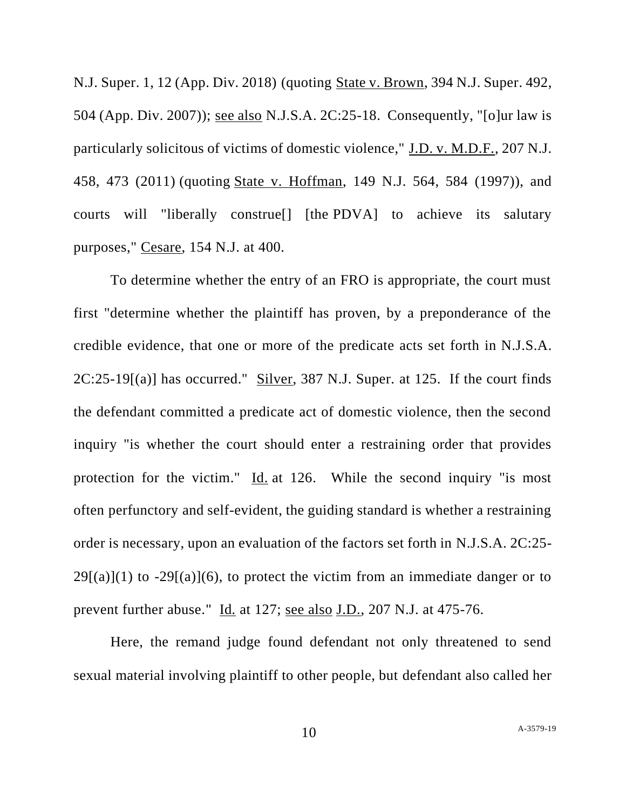N.J. Super. 1, 12 (App. Div. 2018) (quoting State v. Brown, 394 N.J. Super. 492, 504 (App. Div. 2007)); see also N.J.S.A. 2C:25-18. Consequently, "[o]ur law is particularly solicitous of victims of domestic violence," J.D. v. M.D.F., 207 N.J. 458, 473 (2011) (quoting State v. Hoffman, 149 N.J. 564, 584 (1997)), and courts will "liberally construe[] [the PDVA] to achieve its salutary purposes," Cesare, 154 N.J. at 400.

To determine whether the entry of an FRO is appropriate, the court must first "determine whether the plaintiff has proven, by a preponderance of the credible evidence, that one or more of the predicate acts set forth in N.J.S.A. 2C:25-19[(a)] has occurred." Silver, 387 N.J. Super. at 125. If the court finds the defendant committed a predicate act of domestic violence, then the second inquiry "is whether the court should enter a restraining order that provides protection for the victim."  $\underline{Id}$  at 126. While the second inquiry "is most often perfunctory and self-evident, the guiding standard is whether a restraining order is necessary, upon an evaluation of the factors set forth in N.J.S.A. 2C:25-  $29[(a)](1)$  to  $-29[(a)](6)$ , to protect the victim from an immediate danger or to prevent further abuse." Id*.* at 127; see also J.D., 207 N.J. at 475-76.

Here, the remand judge found defendant not only threatened to send sexual material involving plaintiff to other people, but defendant also called her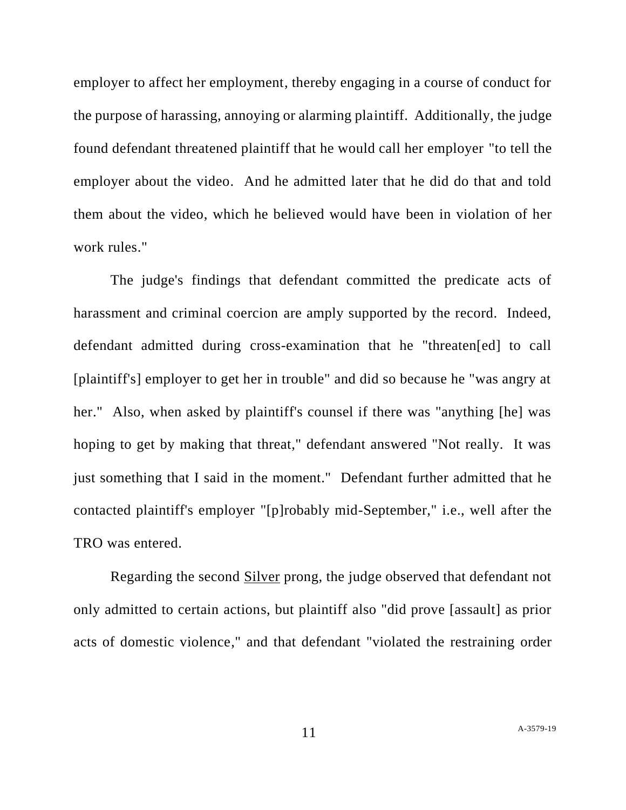employer to affect her employment, thereby engaging in a course of conduct for the purpose of harassing, annoying or alarming plaintiff. Additionally, the judge found defendant threatened plaintiff that he would call her employer "to tell the employer about the video. And he admitted later that he did do that and told them about the video, which he believed would have been in violation of her work rules."

The judge's findings that defendant committed the predicate acts of harassment and criminal coercion are amply supported by the record. Indeed, defendant admitted during cross-examination that he "threaten[ed] to call [plaintiff's] employer to get her in trouble" and did so because he "was angry at her." Also, when asked by plaintiff's counsel if there was "anything [he] was hoping to get by making that threat," defendant answered "Not really. It was just something that I said in the moment." Defendant further admitted that he contacted plaintiff's employer "[p]robably mid-September," i.e., well after the TRO was entered.

Regarding the second Silver prong, the judge observed that defendant not only admitted to certain actions, but plaintiff also "did prove [assault] as prior acts of domestic violence," and that defendant "violated the restraining order